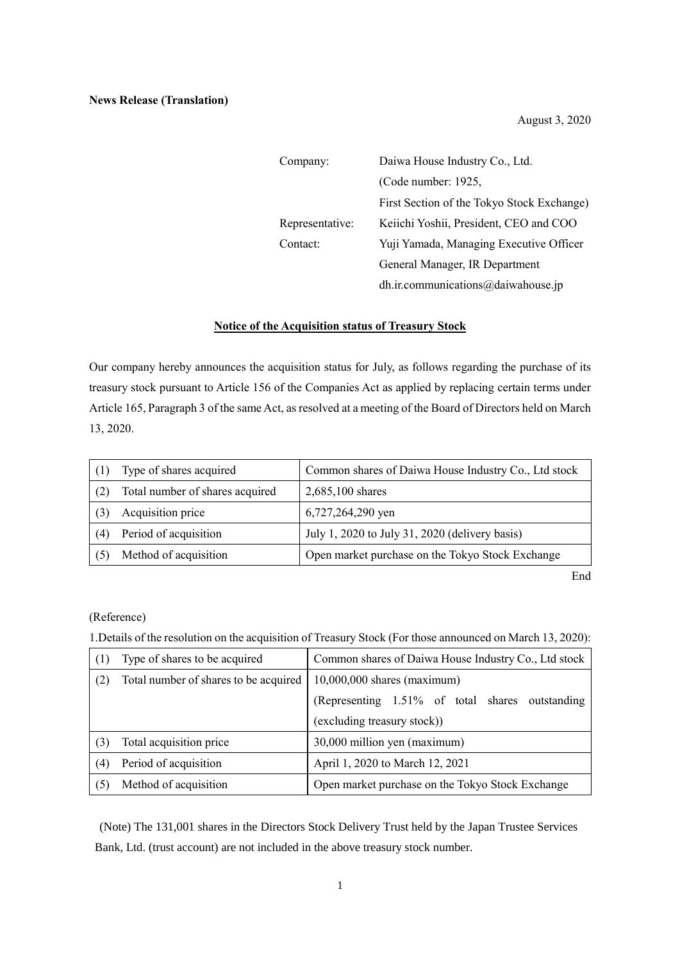August 3, 2020

| Company:        | Daiwa House Industry Co., Ltd.             |  |
|-----------------|--------------------------------------------|--|
|                 | (Code number: 1925,                        |  |
|                 | First Section of the Tokyo Stock Exchange) |  |
| Representative: | Keiichi Yoshii, President, CEO and COO     |  |
| Contact:        | Yuji Yamada, Managing Executive Officer    |  |
|                 | General Manager, IR Department             |  |
|                 | dh.ir.communications@daiwahouse.jp         |  |

## **Notice of the Acquisition status of Treasury Stock**

Our company hereby announces the acquisition status for July, as follows regarding the purchase of its treasury stock pursuant to Article 156 of the Companies Act as applied by replacing certain terms under Article 165, Paragraph 3 of the same Act, as resolved at a meeting of the Board of Directors held on March 13, 2020.

|     | Type of shares acquired         | Common shares of Daiwa House Industry Co., Ltd stock |
|-----|---------------------------------|------------------------------------------------------|
|     | Total number of shares acquired | 2,685,100 shares                                     |
|     | Acquisition price               | 6,727,264,290 yen                                    |
| (4) | Period of acquisition           | July 1, 2020 to July 31, 2020 (delivery basis)       |
|     | Method of acquisition           | Open market purchase on the Tokyo Stock Exchange     |

End

## (Reference)

1.Details of the resolution on the acquisition of Treasury Stock (For those announced on March 13, 2020):

| (1) | Type of shares to be acquired         | Common shares of Daiwa House Industry Co., Ltd stock |
|-----|---------------------------------------|------------------------------------------------------|
| (2) | Total number of shares to be acquired | $10,000,000$ shares (maximum)                        |
|     |                                       | (Representing 1.51% of total shares outstanding      |
|     |                                       | (excluding treasury stock))                          |
| (3) | Total acquisition price               | 30,000 million yen (maximum)                         |
| (4) | Period of acquisition                 | April 1, 2020 to March 12, 2021                      |
| (5) | Method of acquisition                 | Open market purchase on the Tokyo Stock Exchange     |

(Note) The 131,001 shares in the Directors Stock Delivery Trust held by the Japan Trustee Services Bank, Ltd. (trust account) are not included in the above treasury stock number.